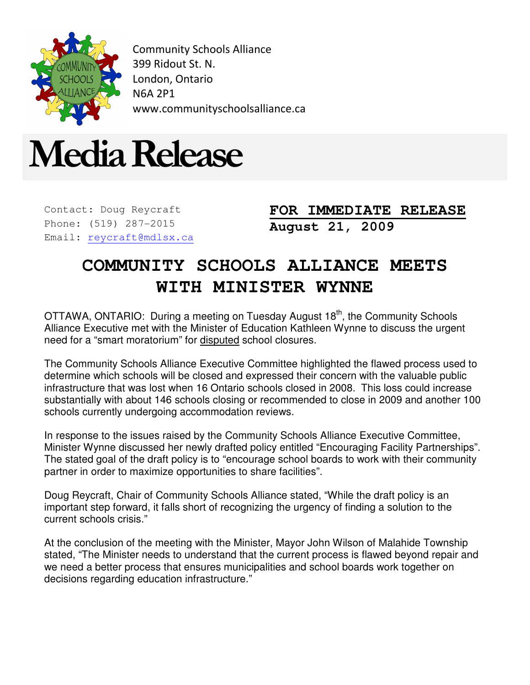

Community Schools Alliance 399 Ridout St. N. London, Ontario N6A 2P1 www.communityschoolsalliance.ca



Contact: Doug Reycraft Phone: (519) 287-2015 Email: reycraft@mdlsx.ca **FOR IMMEDIATE RELEASE August 21, 2009** 

## **COMMUNITY SCHOOLS ALLIANCE MEETS WITH MINISTER WYNNE**

OTTAWA, ONTARIO: During a meeting on Tuesday August 18<sup>th</sup>, the Community Schools Alliance Executive met with the Minister of Education Kathleen Wynne to discuss the urgent need for a "smart moratorium" for disputed school closures.

The Community Schools Alliance Executive Committee highlighted the flawed process used to determine which schools will be closed and expressed their concern with the valuable public infrastructure that was lost when 16 Ontario schools closed in 2008. This loss could increase substantially with about 146 schools closing or recommended to close in 2009 and another 100 schools currently undergoing accommodation reviews.

In response to the issues raised by the Community Schools Alliance Executive Committee, Minister Wynne discussed her newly drafted policy entitled "Encouraging Facility Partnerships". The stated goal of the draft policy is to "encourage school boards to work with their community partner in order to maximize opportunities to share facilities".

Doug Reycraft, Chair of Community Schools Alliance stated, "While the draft policy is an important step forward, it falls short of recognizing the urgency of finding a solution to the current schools crisis."

At the conclusion of the meeting with the Minister, Mayor John Wilson of Malahide Township stated, "The Minister needs to understand that the current process is flawed beyond repair and we need a better process that ensures municipalities and school boards work together on decisions regarding education infrastructure."